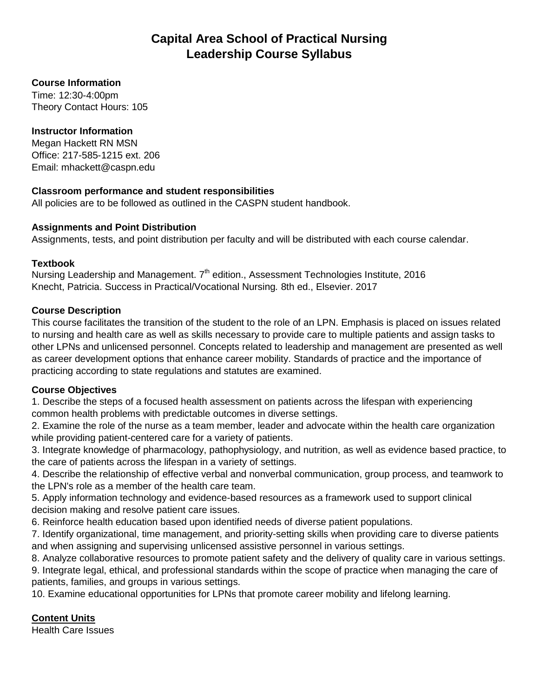# **Capital Area School of Practical Nursing Leadership Course Syllabus**

#### **Course Information**

Time: 12:30-4:00pm Theory Contact Hours: 105

#### **Instructor Information**

Megan Hackett RN MSN Office: 217-585-1215 ext. 206 Email: mhackett@caspn.edu

#### **Classroom performance and student responsibilities**

All policies are to be followed as outlined in the CASPN student handbook.

#### **Assignments and Point Distribution**

Assignments, tests, and point distribution per faculty and will be distributed with each course calendar.

#### **Textbook**

Nursing Leadership and Management. 7<sup>th</sup> edition., Assessment Technologies Institute, 2016 Knecht, Patricia. Success in Practical/Vocational Nursing*.* 8th ed., Elsevier. 2017

#### **Course Description**

This course facilitates the transition of the student to the role of an LPN. Emphasis is placed on issues related to nursing and health care as well as skills necessary to provide care to multiple patients and assign tasks to other LPNs and unlicensed personnel. Concepts related to leadership and management are presented as well as career development options that enhance career mobility. Standards of practice and the importance of practicing according to state regulations and statutes are examined.

## **Course Objectives**

1. Describe the steps of a focused health assessment on patients across the lifespan with experiencing common health problems with predictable outcomes in diverse settings.

2. Examine the role of the nurse as a team member, leader and advocate within the health care organization while providing patient-centered care for a variety of patients.

3. Integrate knowledge of pharmacology, pathophysiology, and nutrition, as well as evidence based practice, to the care of patients across the lifespan in a variety of settings.

4. Describe the relationship of effective verbal and nonverbal communication, group process, and teamwork to the LPN's role as a member of the health care team.

5. Apply information technology and evidence-based resources as a framework used to support clinical decision making and resolve patient care issues.

6. Reinforce health education based upon identified needs of diverse patient populations.

7. Identify organizational, time management, and priority-setting skills when providing care to diverse patients and when assigning and supervising unlicensed assistive personnel in various settings.

8. Analyze collaborative resources to promote patient safety and the delivery of quality care in various settings. 9. Integrate legal, ethical, and professional standards within the scope of practice when managing the care of patients, families, and groups in various settings.

10. Examine educational opportunities for LPNs that promote career mobility and lifelong learning.

## **Content Units**

Health Care Issues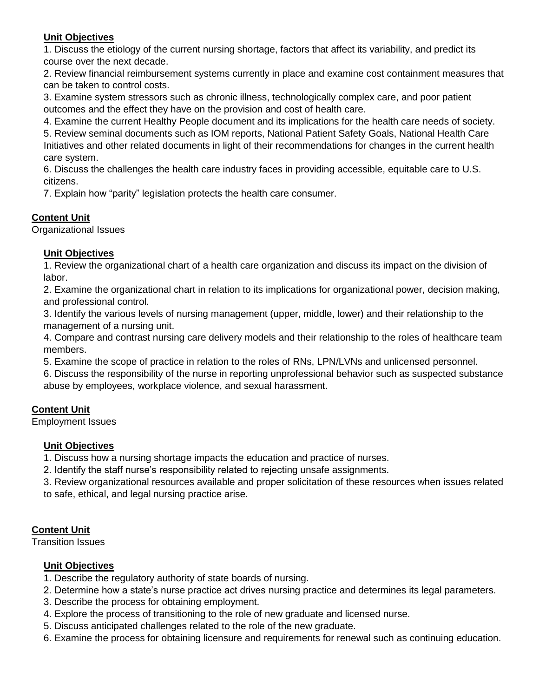## **Unit Objectives**

1. Discuss the etiology of the current nursing shortage, factors that affect its variability, and predict its course over the next decade.

2. Review financial reimbursement systems currently in place and examine cost containment measures that can be taken to control costs.

3. Examine system stressors such as chronic illness, technologically complex care, and poor patient outcomes and the effect they have on the provision and cost of health care.

4. Examine the current Healthy People document and its implications for the health care needs of society.

5. Review seminal documents such as IOM reports, National Patient Safety Goals, National Health Care Initiatives and other related documents in light of their recommendations for changes in the current health care system.

6. Discuss the challenges the health care industry faces in providing accessible, equitable care to U.S. citizens.

7. Explain how "parity" legislation protects the health care consumer.

## **Content Unit**

Organizational Issues

## **Unit Objectives**

1. Review the organizational chart of a health care organization and discuss its impact on the division of labor.

2. Examine the organizational chart in relation to its implications for organizational power, decision making, and professional control.

3. Identify the various levels of nursing management (upper, middle, lower) and their relationship to the management of a nursing unit.

4. Compare and contrast nursing care delivery models and their relationship to the roles of healthcare team members.

5. Examine the scope of practice in relation to the roles of RNs, LPN/LVNs and unlicensed personnel.

6. Discuss the responsibility of the nurse in reporting unprofessional behavior such as suspected substance abuse by employees, workplace violence, and sexual harassment.

## **Content Unit**

Employment Issues

## **Unit Objectives**

1. Discuss how a nursing shortage impacts the education and practice of nurses.

2. Identify the staff nurse's responsibility related to rejecting unsafe assignments.

3. Review organizational resources available and proper solicitation of these resources when issues related

to safe, ethical, and legal nursing practice arise.

## **Content Unit**

Transition Issues

## **Unit Objectives**

- 1. Describe the regulatory authority of state boards of nursing.
- 2. Determine how a state's nurse practice act drives nursing practice and determines its legal parameters.
- 3. Describe the process for obtaining employment.
- 4. Explore the process of transitioning to the role of new graduate and licensed nurse.
- 5. Discuss anticipated challenges related to the role of the new graduate.
- 6. Examine the process for obtaining licensure and requirements for renewal such as continuing education.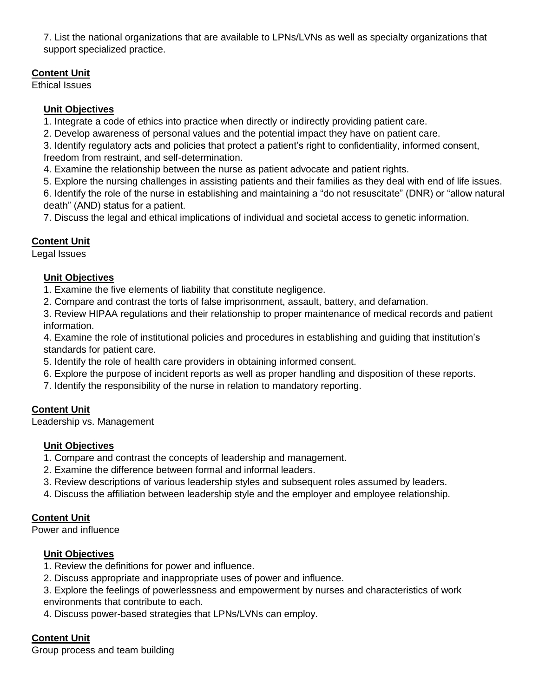7. List the national organizations that are available to LPNs/LVNs as well as specialty organizations that support specialized practice.

## **Content Unit**

Ethical Issues

## **Unit Objectives**

1. Integrate a code of ethics into practice when directly or indirectly providing patient care.

2. Develop awareness of personal values and the potential impact they have on patient care.

3. Identify regulatory acts and policies that protect a patient's right to confidentiality, informed consent, freedom from restraint, and self-determination.

4. Examine the relationship between the nurse as patient advocate and patient rights.

5. Explore the nursing challenges in assisting patients and their families as they deal with end of life issues.

6. Identify the role of the nurse in establishing and maintaining a "do not resuscitate" (DNR) or "allow natural death" (AND) status for a patient.

7. Discuss the legal and ethical implications of individual and societal access to genetic information.

## **Content Unit**

Legal Issues

## **Unit Objectives**

1. Examine the five elements of liability that constitute negligence.

2. Compare and contrast the torts of false imprisonment, assault, battery, and defamation.

3. Review HIPAA regulations and their relationship to proper maintenance of medical records and patient information.

4. Examine the role of institutional policies and procedures in establishing and guiding that institution's standards for patient care.

- 5. Identify the role of health care providers in obtaining informed consent.
- 6. Explore the purpose of incident reports as well as proper handling and disposition of these reports.
- 7. Identify the responsibility of the nurse in relation to mandatory reporting.

## **Content Unit**

Leadership vs. Management

## **Unit Objectives**

- 1. Compare and contrast the concepts of leadership and management.
- 2. Examine the difference between formal and informal leaders.
- 3. Review descriptions of various leadership styles and subsequent roles assumed by leaders.
- 4. Discuss the affiliation between leadership style and the employer and employee relationship.

## **Content Unit**

Power and influence

## **Unit Objectives**

- 1. Review the definitions for power and influence.
- 2. Discuss appropriate and inappropriate uses of power and influence.

3. Explore the feelings of powerlessness and empowerment by nurses and characteristics of work environments that contribute to each.

4. Discuss power-based strategies that LPNs/LVNs can employ.

## **Content Unit**

Group process and team building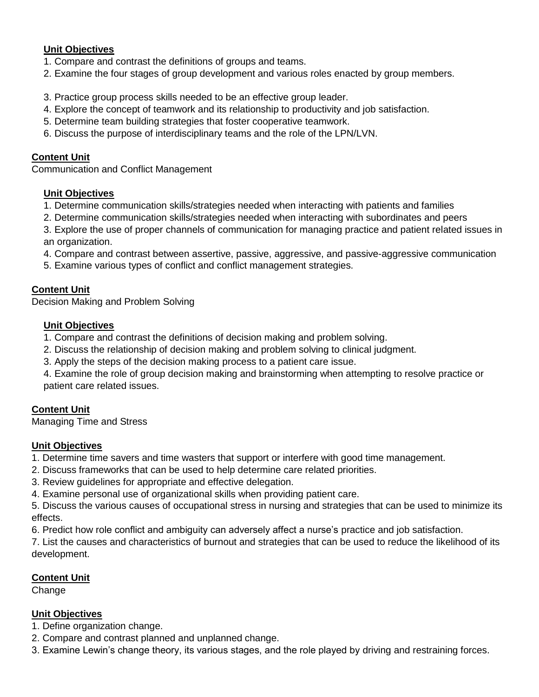#### **Unit Objectives**

- 1. Compare and contrast the definitions of groups and teams.
- 2. Examine the four stages of group development and various roles enacted by group members.
- 3. Practice group process skills needed to be an effective group leader.
- 4. Explore the concept of teamwork and its relationship to productivity and job satisfaction.
- 5. Determine team building strategies that foster cooperative teamwork.
- 6. Discuss the purpose of interdisciplinary teams and the role of the LPN/LVN.

#### **Content Unit**

Communication and Conflict Management

#### **Unit Objectives**

- 1. Determine communication skills/strategies needed when interacting with patients and families
- 2. Determine communication skills/strategies needed when interacting with subordinates and peers
- 3. Explore the use of proper channels of communication for managing practice and patient related issues in an organization.
- 4. Compare and contrast between assertive, passive, aggressive, and passive-aggressive communication
- 5. Examine various types of conflict and conflict management strategies.

#### **Content Unit**

Decision Making and Problem Solving

#### **Unit Objectives**

- 1. Compare and contrast the definitions of decision making and problem solving.
- 2. Discuss the relationship of decision making and problem solving to clinical judgment.
- 3. Apply the steps of the decision making process to a patient care issue.
- 4. Examine the role of group decision making and brainstorming when attempting to resolve practice or patient care related issues.

## **Content Unit**

Managing Time and Stress

#### **Unit Objectives**

- 1. Determine time savers and time wasters that support or interfere with good time management.
- 2. Discuss frameworks that can be used to help determine care related priorities.
- 3. Review guidelines for appropriate and effective delegation.
- 4. Examine personal use of organizational skills when providing patient care.

5. Discuss the various causes of occupational stress in nursing and strategies that can be used to minimize its effects.

6. Predict how role conflict and ambiguity can adversely affect a nurse's practice and job satisfaction.

7. List the causes and characteristics of burnout and strategies that can be used to reduce the likelihood of its development.

#### **Content Unit**

Change

#### **Unit Objectives**

1. Define organization change.

- 2. Compare and contrast planned and unplanned change.
- 3. Examine Lewin's change theory, its various stages, and the role played by driving and restraining forces.